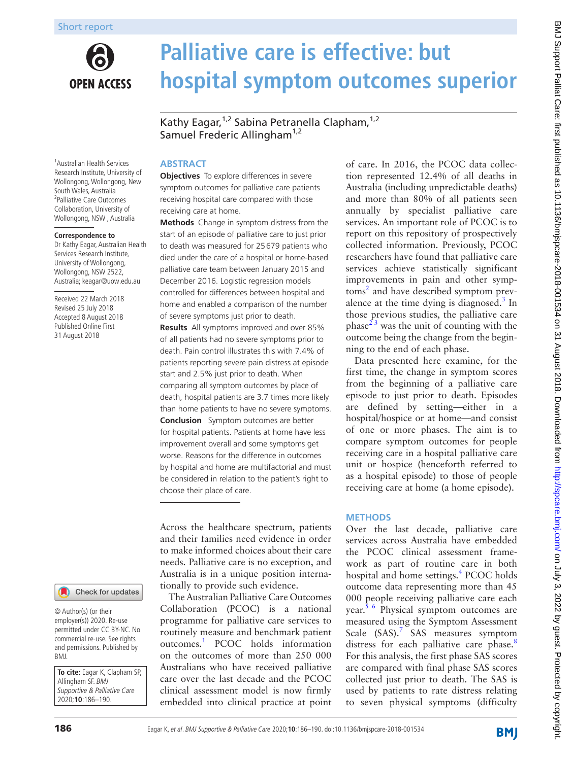

# **Palliative care is effective: but hospital symptom outcomes superior**

# Kathy Eagar,<sup>1,2</sup> Sabina Petranella Clapham,<sup>1,2</sup> Samuel Frederic Allingham<sup>1,2</sup>

# **Abstract**

**Objectives** To explore differences in severe symptom outcomes for palliative care patients receiving hospital care compared with those receiving care at home.

**Methods** Change in symptom distress from the start of an episode of palliative care to just prior to death was measured for 25679 patients who died under the care of a hospital or home-based palliative care team between January 2015 and December 2016. Logistic regression models controlled for differences between hospital and home and enabled a comparison of the number of severe symptoms just prior to death. **Results** All symptoms improved and over 85% of all patients had no severe symptoms prior to death. Pain control illustrates this with 7.4% of patients reporting severe pain distress at episode start and 2.5% just prior to death. When comparing all symptom outcomes by place of death, hospital patients are 3.7 times more likely than home patients to have no severe symptoms. **Conclusion**  Symptom outcomes are better for hospital patients. Patients at home have less improvement overall and some symptoms get worse. Reasons for the difference in outcomes by hospital and home are multifactorial and must be considered in relation to the patient's right to choose their place of care.

Across the healthcare spectrum, patients and their families need evidence in order to make informed choices about their care needs. Palliative care is no exception, and Australia is in a unique position internationally to provide such evidence.

The Australian Palliative Care Outcomes Collaboration (PCOC) is a national programme for palliative care services to routinely measure and benchmark patient outcomes.[1](#page-3-0) PCOC holds information on the outcomes of more than 250 000 Australians who have received palliative care over the last decade and the PCOC clinical assessment model is now firmly embedded into clinical practice at point

of care. In 2016, the PCOC data collection represented 12.4% of all deaths in Australia (including unpredictable deaths) and more than 80% of all patients seen annually by specialist palliative care services. An important role of PCOC is to report on this repository of prospectively collected information. Previously, PCOC researchers have found that palliative care services achieve statistically significant improvements in pain and other symp-toms<sup>[2](#page-3-1)</sup> and have described symptom prevalence at the time dying is diagnosed. $3$  In those previous studies, the palliative care phase<sup> $2<sup>3</sup>$ </sup> was the unit of counting with the outcome being the change from the beginning to the end of each phase.

Data presented here examine, for the first time, the change in symptom scores from the beginning of a palliative care episode to just prior to death. Episodes are defined by setting—either in a hospital/hospice or at home—and consist of one or more phases. The aim is to compare symptom outcomes for people receiving care in a hospital palliative care unit or hospice (henceforth referred to as a hospital episode) to those of people receiving care at home (a home episode).

## **Methods**

Over the last decade, palliative care services across Australia have embedded the PCOC clinical assessment framework as part of routine care in both hospital and home settings.<sup>[4](#page-3-3)</sup> PCOC holds outcome data representing more than 45 000 people receiving palliative care each year.<sup>[5 6](#page-3-4)</sup> Physical symptom outcomes are measured using the Symptom Assessment Scale (SAS).<sup>[7](#page-4-0)</sup> SAS measures symptom distress for each palliative care phase.<sup>8</sup> For this analysis, the first phase SAS scores are compared with final phase SAS scores collected just prior to death. The SAS is used by patients to rate distress relating to seven physical symptoms (difficulty

1 Australian Health Services Research Institute, University of Wollongong, Wollongong, New South Wales, Australia 2 Palliative Care Outcomes Collaboration, University of Wollongong, NSW , Australia

#### **Correspondence to**

Dr Kathy Eagar, Australian Health Services Research Institute, University of Wollongong, Wollongong, NSW 2522, Australia; keagar@uow.edu.au

Received 22 March 2018 Revised 25 July 2018 Accepted 8 August 2018 Published Online First 31 August 2018



© Author(s) (or their employer(s)) 2020. Re-use permitted under CC BY-NC. No commercial re-use. See rights and permissions. Published by BMJ.

**To cite:** Eagar K, Clapham SP, Allingham SF. BMJ Supportive & Palliative Care 2020;**10**:186–190.

**BMJ** 

BMJ Support Palliat Care: first published as 10.1136/bmjspcare-2018-001534 on 31 August 2018. Downloaded from http://spcare.bmj.com/ on July 3, 2022 by guest. Protected by copyright BMJ Support Palliat Care: first published as 10.1136/bmjspcare-2018-001534 on 31 August 2018. Downloaded from <http://spcare.bmj.com/> on July 3, 2022 by guest. Protected by copyright.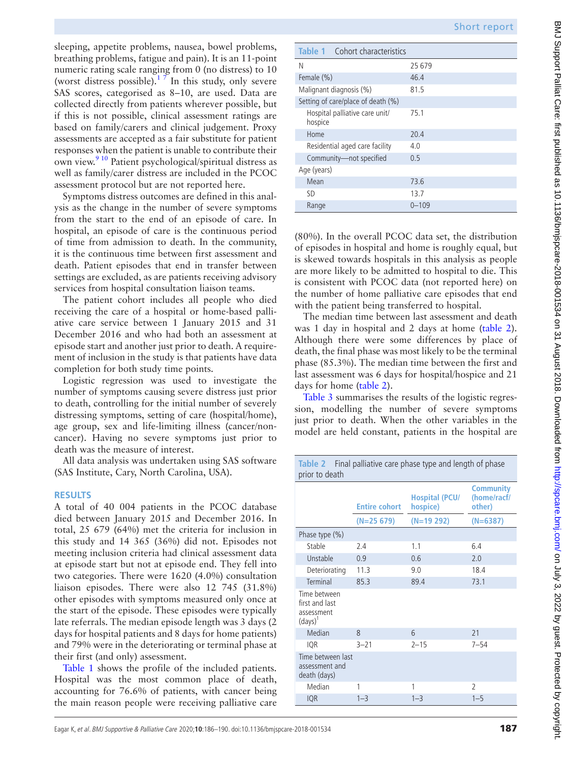sleeping, appetite problems, nausea, bowel problems, breathing problems, fatigue and pain). It is an 11-point numeric rating scale ranging from 0 (no distress) to 10 (worst distress possible).<sup>17</sup> In this study, only severe SAS scores, categorised as 8–10, are used. Data are collected directly from patients wherever possible, but if this is not possible, clinical assessment ratings are based on family/carers and clinical judgement. Proxy assessments are accepted as a fair substitute for patient responses when the patient is unable to contribute their own view.[9 10](#page-4-2) Patient psychological/spiritual distress as well as family/carer distress are included in the PCOC assessment protocol but are not reported here.

Symptoms distress outcomes are defined in this analysis as the change in the number of severe symptoms from the start to the end of an episode of care. In hospital, an episode of care is the continuous period of time from admission to death. In the community, it is the continuous time between first assessment and death. Patient episodes that end in transfer between settings are excluded, as are patients receiving advisory services from hospital consultation liaison teams.

The patient cohort includes all people who died receiving the care of a hospital or home-based palliative care service between 1 January 2015 and 31 December 2016 and who had both an assessment at episode start and another just prior to death. A requirement of inclusion in the study is that patients have data completion for both study time points.

Logistic regression was used to investigate the number of symptoms causing severe distress just prior to death, controlling for the initial number of severely distressing symptoms, setting of care (hospital/home), age group, sex and life-limiting illness (cancer/noncancer). Having no severe symptoms just prior to death was the measure of interest.

All data analysis was undertaken using SAS software (SAS Institute, Cary, North Carolina, USA).

#### **Results**

A total of 40 004 patients in the PCOC database died between January 2015 and December 2016. In total, 25 679 (64%) met the criteria for inclusion in this study and 14 365 (36%) did not. Episodes not meeting inclusion criteria had clinical assessment data at episode start but not at episode end. They fell into two categories. There were 1620 (4.0%) consultation liaison episodes. There were also 12 745 (31.8%) other episodes with symptoms measured only once at the start of the episode. These episodes were typically late referrals. The median episode length was 3 days (2 days for hospital patients and 8 days for home patients) and 79% were in the deteriorating or terminal phase at their first (and only) assessment.

[Table](#page-1-0) 1 shows the profile of the included patients. Hospital was the most common place of death, accounting for 76.6% of patients, with cancer being the main reason people were receiving palliative care

<span id="page-1-0"></span>

| <b>Table 1</b> Cohort characteristics     |           |  |
|-------------------------------------------|-----------|--|
| N                                         | 25 679    |  |
| Female (%)                                | 46.4      |  |
| Malignant diagnosis (%)                   | 81.5      |  |
| Setting of care/place of death (%)        |           |  |
| Hospital palliative care unit/<br>hospice | 75.1      |  |
| Home                                      | 20.4      |  |
| Residential aged care facility            | 4.0       |  |
| Community-not specified                   | 0.5       |  |
| Age (years)                               |           |  |
| Mean                                      | 73.6      |  |
| SD                                        | 13.7      |  |
| Range                                     | $0 - 109$ |  |

(80%). In the overall PCOC data set, the distribution of episodes in hospital and home is roughly equal, but is skewed towards hospitals in this analysis as people are more likely to be admitted to hospital to die. This is consistent with PCOC data (not reported here) on the number of home palliative care episodes that end with the patient being transferred to hospital.

The median time between last assessment and death was 1 day in hospital and 2 days at home [\(table](#page-1-1) 2). Although there were some differences by place of death, the final phase was most likely to be the terminal phase (85.3%). The median time between the first and last assessment was 6 days for hospital/hospice and 21 days for home [\(table](#page-1-1) 2).

[Table](#page-2-0) 3 summarises the results of the logistic regression, modelling the number of severe symptoms just prior to death. When the other variables in the model are held constant, patients in the hospital are

<span id="page-1-1"></span>

| <b>Table 2</b> Final palliative care phase type and length of phase<br>prior to death |                      |                                   |                                           |  |
|---------------------------------------------------------------------------------------|----------------------|-----------------------------------|-------------------------------------------|--|
|                                                                                       | <b>Entire cohort</b> | <b>Hospital (PCU/</b><br>hospice) | <b>Community</b><br>(home/racf/<br>other) |  |
|                                                                                       | $(N=25 679)$         | $(N=19 292)$                      | $(N=6387)$                                |  |
| Phase type $(\%)$                                                                     |                      |                                   |                                           |  |
| Stable                                                                                | 2.4                  | 1.1                               | 6.4                                       |  |
| Unstable                                                                              | 0.9                  | 0.6                               | 2.0                                       |  |
| Deteriorating                                                                         | 11.3                 | 9.0                               | 18.4                                      |  |
| Terminal                                                                              | 85.3                 | 89.4                              | 73.1                                      |  |
| Time between<br>first and last<br>assessment<br>$(days)^{1}$                          |                      |                                   |                                           |  |
| Median                                                                                | 8                    | $6\overline{6}$                   | 21                                        |  |
| IQR                                                                                   | $3 - 21$             | $2 - 15$                          | $7 - 54$                                  |  |
| Time between last<br>assessment and<br>death (days)                                   |                      |                                   |                                           |  |
| Median                                                                                | 1                    | 1                                 | 2                                         |  |
| <b>IQR</b>                                                                            | $1 - 3$              | $1 - 3$                           | $1 - 5$                                   |  |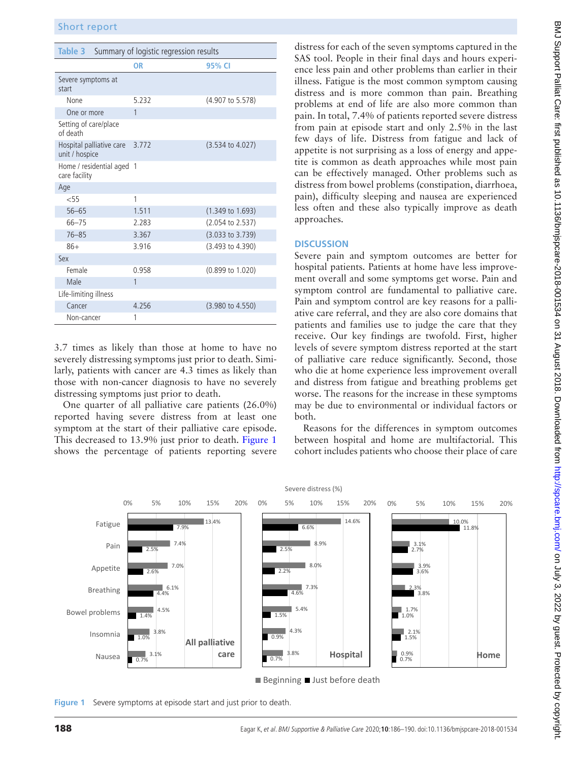<span id="page-2-0"></span>

| Table 3 Summary of logistic regression results |                |                             |  |
|------------------------------------------------|----------------|-----------------------------|--|
|                                                | 0 <sub>R</sub> | 95% CI                      |  |
| Severe symptoms at<br>start                    |                |                             |  |
| None                                           | 5.232          | (4.907 to 5.578)            |  |
| One or more                                    | 1              |                             |  |
| Setting of care/place<br>of death              |                |                             |  |
| Hospital palliative care<br>unit / hospice     | 3.772          | $(3.534 \text{ to } 4.027)$ |  |
| Home / residential aged 1<br>care facility     |                |                             |  |
| Age                                            |                |                             |  |
| $<$ 55                                         | 1              |                             |  |
| $56 - 65$                                      | 1.511          | $(1.349 \text{ to } 1.693)$ |  |
| $66 - 75$                                      | 2.283          | $(2.054 \text{ to } 2.537)$ |  |
| $76 - 85$                                      | 3.367          | $(3.033$ to $3.739)$        |  |
| $86+$                                          | 3.916          | (3.493 to 4.390)            |  |
| Sex                                            |                |                             |  |
| Female                                         | 0.958          | $(0.899 \text{ to } 1.020)$ |  |
| Male                                           | 1              |                             |  |
| Life-limiting illness                          |                |                             |  |
| Cancer                                         | 4.256          | $(3.980 \text{ to } 4.550)$ |  |
| Non-cancer                                     | 1              |                             |  |

3.7 times as likely than those at home to have no severely distressing symptoms just prior to death. Similarly, patients with cancer are 4.3 times as likely than those with non-cancer diagnosis to have no severely distressing symptoms just prior to death.

One quarter of all palliative care patients (26.0%) reported having severe distress from at least one symptom at the start of their palliative care episode. This decreased to 13.9% just prior to death. [Figure](#page-2-1) 1 shows the percentage of patients reporting severe

distress for each of the seven symptoms captured in the SAS tool. People in their final days and hours experience less pain and other problems than earlier in their illness. Fatigue is the most common symptom causing distress and is more common than pain. Breathing problems at end of life are also more common than pain. In total, 7.4% of patients reported severe distress from pain at episode start and only 2.5% in the last few days of life. Distress from fatigue and lack of appetite is not surprising as a loss of energy and appetite is common as death approaches while most pain can be effectively managed. Other problems such as distress from bowel problems (constipation, diarrhoea, pain), difficulty sleeping and nausea are experienced less often and these also typically improve as death approaches.

## **Discussion**

Severe pain and symptom outcomes are better for hospital patients. Patients at home have less improvement overall and some symptoms get worse. Pain and symptom control are fundamental to palliative care. Pain and symptom control are key reasons for a palliative care referral, and they are also core domains that patients and families use to judge the care that they receive. Our key findings are twofold. First, higher levels of severe symptom distress reported at the start of palliative care reduce significantly. Second, those who die at home experience less improvement overall and distress from fatigue and breathing problems get worse. The reasons for the increase in these symptoms may be due to environmental or individual factors or both.

Reasons for the differences in symptom outcomes between hospital and home are multifactorial. This cohort includes patients who choose their place of care



<span id="page-2-1"></span>**Figure 1** Severe symptoms at episode start and just prior to death.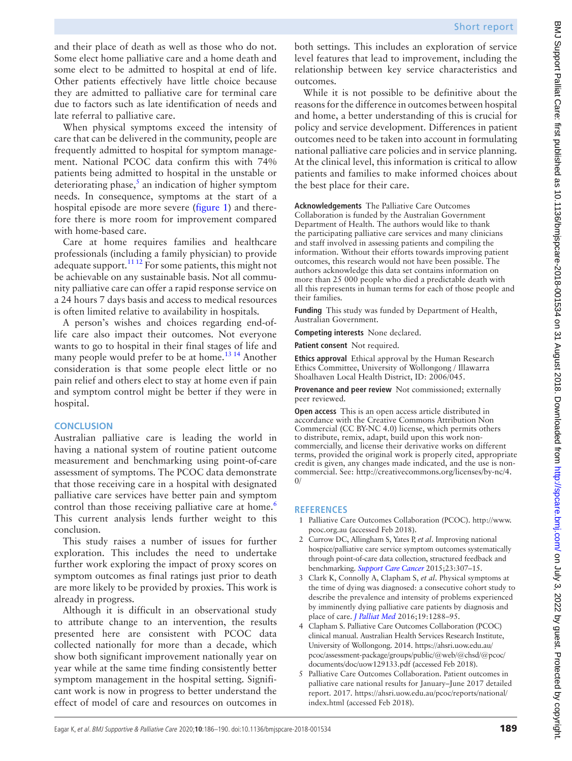and their place of death as well as those who do not. Some elect home palliative care and a home death and some elect to be admitted to hospital at end of life. Other patients effectively have little choice because they are admitted to palliative care for terminal care due to factors such as late identification of needs and late referral to palliative care.

When physical symptoms exceed the intensity of care that can be delivered in the community, people are frequently admitted to hospital for symptom management. National PCOC data confirm this with 74% patients being admitted to hospital in the unstable or deteriorating phase, $<sup>5</sup>$  $<sup>5</sup>$  $<sup>5</sup>$  an indication of higher symptom</sup> needs. In consequence, symptoms at the start of a hospital episode are more severe ([figure](#page-2-1) 1) and therefore there is more room for improvement compared with home-based care.

Care at home requires families and healthcare professionals (including a family physician) to provide adequate support.<sup>11 12</sup> For some patients, this might not be achievable on any sustainable basis. Not all community palliative care can offer a rapid response service on a 24 hours 7 days basis and access to medical resources is often limited relative to availability in hospitals.

A person's wishes and choices regarding end-oflife care also impact their outcomes. Not everyone wants to go to hospital in their final stages of life and many people would prefer to be at home.<sup>13 14</sup> Another consideration is that some people elect little or no pain relief and others elect to stay at home even if pain and symptom control might be better if they were in hospital.

#### **Conclusion**

Australian palliative care is leading the world in having a national system of routine patient outcome measurement and benchmarking using point-of-care assessment of symptoms. The PCOC data demonstrate that those receiving care in a hospital with designated palliative care services have better pain and symptom control than those receiving palliative care at home.<sup>[6](#page-4-5)</sup> This current analysis lends further weight to this conclusion.

This study raises a number of issues for further exploration. This includes the need to undertake further work exploring the impact of proxy scores on symptom outcomes as final ratings just prior to death are more likely to be provided by proxies. This work is already in progress.

Although it is difficult in an observational study to attribute change to an intervention, the results presented here are consistent with PCOC data collected nationally for more than a decade, which show both significant improvement nationally year on year while at the same time finding consistently better symptom management in the hospital setting. Significant work is now in progress to better understand the effect of model of care and resources on outcomes in

both settings. This includes an exploration of service level features that lead to improvement, including the relationship between key service characteristics and outcomes.

While it is not possible to be definitive about the reasons for the difference in outcomes between hospital and home, a better understanding of this is crucial for policy and service development. Differences in patient outcomes need to be taken into account in formulating national palliative care policies and in service planning. At the clinical level, this information is critical to allow patients and families to make informed choices about the best place for their care.

**Acknowledgements** The Palliative Care Outcomes Collaboration is funded by the Australian Government Department of Health. The authors would like to thank the participating palliative care services and many clinicians and staff involved in assessing patients and compiling the information. Without their efforts towards improving patient outcomes, this research would not have been possible. The authors acknowledge this data set contains information on more than 25 000 people who died a predictable death with all this represents in human terms for each of those people and their families.

**Funding** This study was funded by Department of Health, Australian Government.

**Competing interests** None declared.

**Patient consent** Not required.

**Ethics approval** Ethical approval by the Human Research Ethics Committee, University of Wollongong / Illawarra Shoalhaven Local Health District, ID: 2006/045.

**Provenance and peer review** Not commissioned; externally peer reviewed.

**Open access** This is an open access article distributed in accordance with the Creative Commons Attribution Non Commercial (CC BY-NC 4.0) license, which permits others to distribute, remix, adapt, build upon this work noncommercially, and license their derivative works on different terms, provided the original work is properly cited, appropriate credit is given, any changes made indicated, and the use is noncommercial. See: [http://creativecommons.org/licenses/by-nc/4.](http://creativecommons.org/licenses/by-nc/4.0/) [0/](http://creativecommons.org/licenses/by-nc/4.0/)

### **References**

- <span id="page-3-0"></span>1 Palliative Care Outcomes Collaboration (PCOC). [http://www.](http://www.pcoc.org.au) [pcoc.org.au](http://www.pcoc.org.au) (accessed Feb 2018).
- <span id="page-3-1"></span>2 Currow DC, Allingham S, Yates P, *et al*. Improving national hospice/palliative care service symptom outcomes systematically through point-of-care data collection, structured feedback and benchmarking. *[Support Care Cancer](http://dx.doi.org/10.1007/s00520-014-2351-8)* 2015;23:307–15.
- <span id="page-3-2"></span>3 Clark K, Connolly A, Clapham S, *et al*. Physical symptoms at the time of dying was diagnosed: a consecutive cohort study to describe the prevalence and intensity of problems experienced by imminently dying palliative care patients by diagnosis and place of care. *[J Palliat Med](http://dx.doi.org/10.1089/jpm.2016.0219)* 2016;19:1288–95.
- <span id="page-3-3"></span>4 Clapham S. Palliative Care Outcomes Collaboration (PCOC) clinical manual. Australian Health Services Research Institute, University of Wollongong. 2014. [https://ahsri.uow.edu.au/](https://ahsri.uow.edu.au/pcoc/assessment-package/groups/public/@web/@chsd/@pcoc/documents/doc/uow129133.pdf) [pcoc/assessment-package/groups/public/@web/@chsd/@pcoc/](https://ahsri.uow.edu.au/pcoc/assessment-package/groups/public/@web/@chsd/@pcoc/documents/doc/uow129133.pdf) [documents/doc/uow129133.pdf](https://ahsri.uow.edu.au/pcoc/assessment-package/groups/public/@web/@chsd/@pcoc/documents/doc/uow129133.pdf) (accessed Feb 2018).
- <span id="page-3-4"></span>5 Palliative Care Outcomes Collaboration. Patient outcomes in palliative care national results for January–June 2017 detailed report. 2017. [https://ahsri.uow.edu.au/pcoc/reports/national/](https://ahsri.uow.edu.au/pcoc/reports/national/index.html) [index.html](https://ahsri.uow.edu.au/pcoc/reports/national/index.html) (accessed Feb 2018).